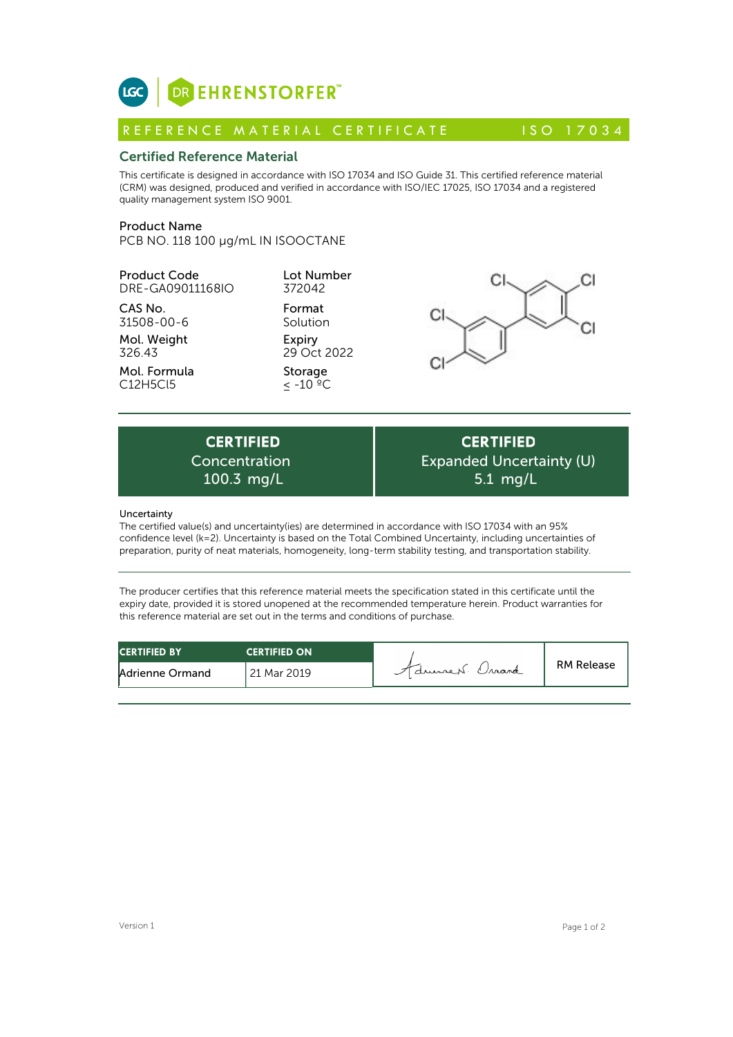

# Certified Reference Material

This certificate is designed in accordance with ISO 17034 and ISO Guide 31. This certified reference material (CRM) was designed, produced and verified in accordance with ISO/IEC 17025, ISO 17034 and a registered quality management system ISO 9001. **ICC**<br> **REFERENCE MATERIAL CERTIFICATE** ISO 17034<br> **Certified Reference Material**<br>
This certificate is designed in accordance with ISO 17034 and ISO Guide 31. This certified reference material<br>
CRM) was designed, produced

## Product Name

PCB NO. 118 100 µg/mL IN ISOOCTANE

Product Code DRE-GA09011168IO

CAS No. 31508-00-6

Mol. Weight 326.43

Mol. Formula C12H5Cl5

Format Format Cl Expiry 29 Oct 2022

Lot Number 372042

Storage ≤ -10 ºC



Expiry<br>
29 Oct 2022<br>
Storage<br>  $\leq -10^{-9}C$ <br>
CERTIFIED<br>
oncentration Exp<br>
100.3 mg/L<br>
Canduncertainty(ioc) are determined in accordance Concentration

**CERTIFIED** Expanded Uncertainty (U) 5.1 mg/L

## Uncertainty

The certified value(s) and uncertainty(ies) are determined in accordance with ISO 17034 with an 95% confidence level (k=2). Uncertainty is based on the Total Combined Uncertainty, including uncertainties of preparation, purity of neat materials, homogeneity, long-term stability testing, and transportation stability.

The producer certifies that this reference material meets the specification stated in this certificate until the expiry date, provided it is stored unopened at the recommended temperature herein. Product warranties for this reference material are set out in the terms and conditions of purchase.

| <b>CERTIFIED BY</b> | <b>CERTIFIED ON</b> |                  |                   |
|---------------------|---------------------|------------------|-------------------|
| Adrienne Ormand     | 21 Mar 2019         | 7 drument Craand | <b>RM Release</b> |